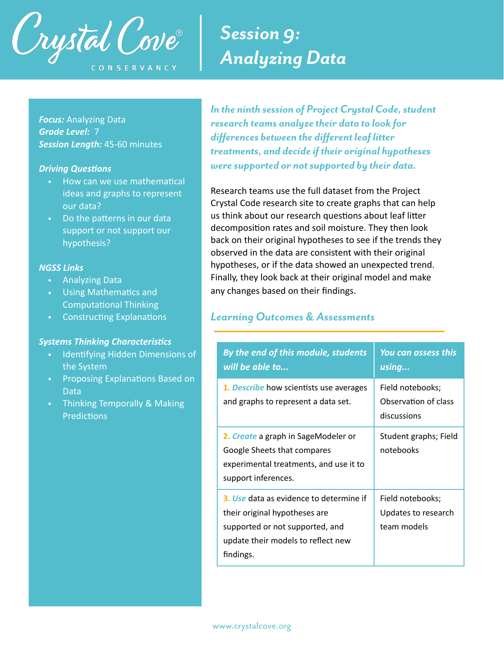

# *Session 9: Analyzing Data*

*Focus:* Analyzing Data *Grade Level:* 7 *Session Length:* 45-60 minutes

#### *Driving Questions*

- How can we use mathematical ideas and graphs to represent our data?
- Do the patterns in our data support or not support our hypothesis?

#### *NGSS Links*

- Analyzing Data
- Using Mathematics and Computational Thinking
- Constructing Explanations

### *Systems Thinking Characteristics*

- Identifying Hidden Dimensions of the System
- Proposing Explanations Based on Data
- Thinking Temporally & Making **Predictions**

*In the ninth session of Project Crystal Code, student research teams analyze their data to look for differences between the different leaf litter treatments, and decide if their original hypotheses were supported or not supported by their data.* 

Research teams use the full dataset from the Project Crystal Code research site to create graphs that can help us think about our research questions about leaf litter decomposition rates and soil moisture. They then look back on their original hypotheses to see if the trends they observed in the data are consistent with their original hypotheses, or if the data showed an unexpected trend. Finally, they look back at their original model and make any changes based on their findings.

### *Learning Outcomes & Assessments*

| By the end of this module, students<br>will be able to                                                                                                         | <b>You can assess this</b><br>using                     |
|----------------------------------------------------------------------------------------------------------------------------------------------------------------|---------------------------------------------------------|
| 1. Describe how scientists use averages<br>and graphs to represent a data set.                                                                                 | Field notebooks;<br>Observation of class<br>discussions |
| 2. Create a graph in SageModeler or<br>Google Sheets that compares<br>experimental treatments, and use it to<br>support inferences.                            | Student graphs; Field<br>notebooks                      |
| 3. Use data as evidence to determine if<br>their original hypotheses are<br>supported or not supported, and<br>update their models to reflect new<br>findings. | Field notebooks;<br>Updates to research<br>team models  |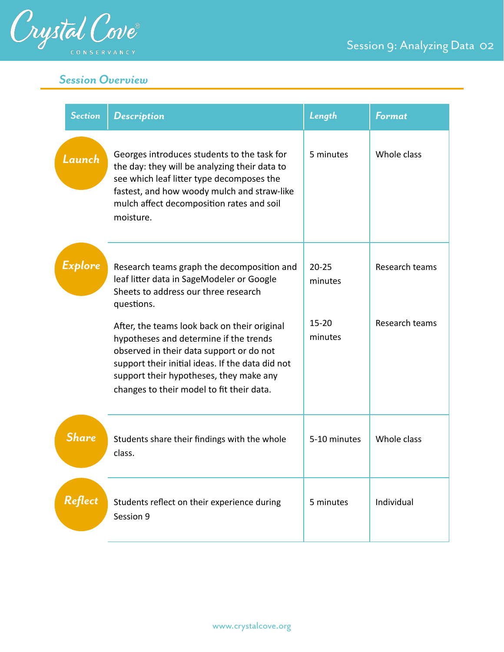

*Session Overview*

| <b>Section</b> | <b>Description</b>                                                                                                                                                                                                                                                             | Length               | <b>Format</b>  |
|----------------|--------------------------------------------------------------------------------------------------------------------------------------------------------------------------------------------------------------------------------------------------------------------------------|----------------------|----------------|
| Launch         | Georges introduces students to the task for<br>the day: they will be analyzing their data to<br>see which leaf litter type decomposes the<br>fastest, and how woody mulch and straw-like<br>mulch affect decomposition rates and soil<br>moisture.                             | 5 minutes            | Whole class    |
| Explore        | Research teams graph the decomposition and<br>leaf litter data in SageModeler or Google<br>Sheets to address our three research<br>questions.                                                                                                                                  | $20 - 25$<br>minutes | Research teams |
|                | After, the teams look back on their original<br>hypotheses and determine if the trends<br>observed in their data support or do not<br>support their initial ideas. If the data did not<br>support their hypotheses, they make any<br>changes to their model to fit their data. | $15 - 20$<br>minutes | Research teams |

| <b>Share</b>   | Students share their findings with the whole<br>class.   | 5-10 minutes | Whole class |
|----------------|----------------------------------------------------------|--------------|-------------|
| <b>Reflect</b> | Students reflect on their experience during<br>Session 9 | 5 minutes    | Individual  |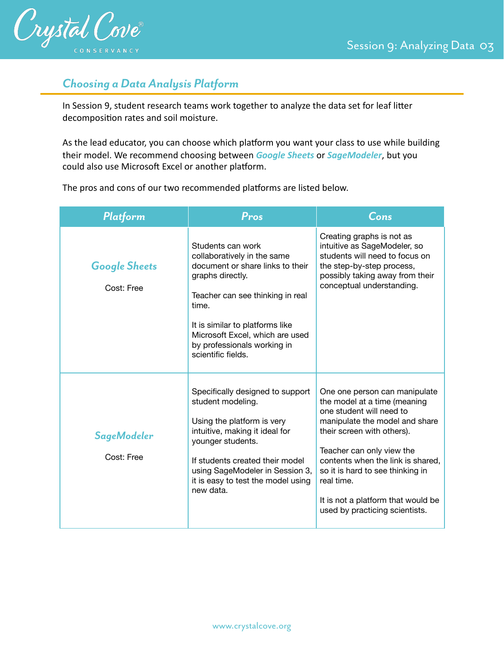

### *Choosing a Data Analysis Platform*

In Session 9, student research teams work together to analyze the data set for leaf litter decomposition rates and soil moisture.

As the lead educator, you can choose which platform you want your class to use while building their model. We recommend choosing between *Google Sheets* or *SageModeler*, but you could also use Microsoft Excel or another platform.

The pros and cons of our two recommended platforms are listed below.

| Platform                           | Pros                                                                                                                                                                                                                                                                             | Cons                                                                                                                                                                                                                                                                                                                                                  |
|------------------------------------|----------------------------------------------------------------------------------------------------------------------------------------------------------------------------------------------------------------------------------------------------------------------------------|-------------------------------------------------------------------------------------------------------------------------------------------------------------------------------------------------------------------------------------------------------------------------------------------------------------------------------------------------------|
| <b>Google Sheets</b><br>Cost: Free | Students can work<br>collaboratively in the same<br>document or share links to their<br>graphs directly.<br>Teacher can see thinking in real<br>time.<br>It is similar to platforms like<br>Microsoft Excel, which are used<br>by professionals working in<br>scientific fields. | Creating graphs is not as<br>intuitive as SageModeler, so<br>students will need to focus on<br>the step-by-step process,<br>possibly taking away from their<br>conceptual understanding.                                                                                                                                                              |
| <b>SageModeler</b><br>Cost: Free   | Specifically designed to support<br>student modeling.<br>Using the platform is very<br>intuitive, making it ideal for<br>younger students.<br>If students created their model<br>using SageModeler in Session 3,<br>it is easy to test the model using<br>new data.              | One one person can manipulate<br>the model at a time (meaning<br>one student will need to<br>manipulate the model and share<br>their screen with others).<br>Teacher can only view the<br>contents when the link is shared,<br>so it is hard to see thinking in<br>real time.<br>It is not a platform that would be<br>used by practicing scientists. |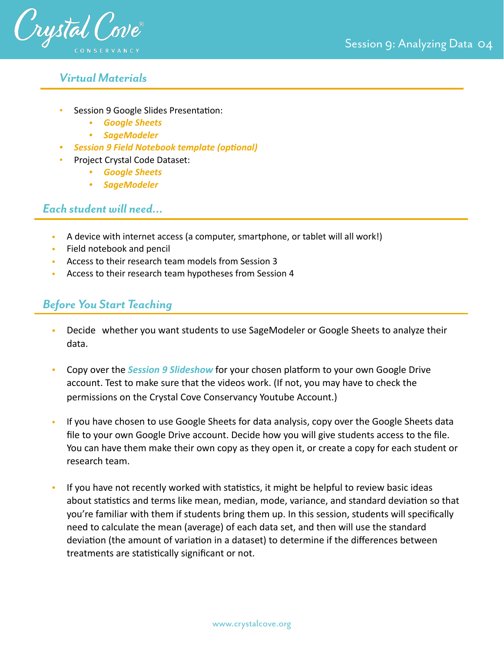

### *Virtual Materials*

- Session 9 Google Slides Presentation:
	- *• [Google Sheets](https://docs.google.com/presentation/d/1cALwI00Uh9USMfw9s4XrgahDmKI4tQra1YM_GxAH2ck/edit?usp=sharing)*
	- *• [SageModeler](https://docs.google.com/presentation/d/1Ur1P_XsULHb8xN-q49nf8ef0GzirQHiv5A9Y3Io4EUI/edit?usp=sharing)*
	- *• [Session 9 Field Notebook template \(optional\)](https://docs.google.com/document/d/14J68dYQ0kv9kK1o6w9Yn1qizfZDqA02KPTlAJGOs_ro/edit?usp=sharing)*
- Project Crystal Code Dataset:
	- *• [Google Sheets](https://docs.google.com/spreadsheets/d/1WjZ-743zNaj-CLQvypMFKvoDD9parg-KCfa6R3k-upw/edit?usp=sharing)*
	- *• [SageModeler](https://sagemodeler.concord.org/app/#shared=https://cfm-shared.concord.org/3pkzechXZCY73uLMggmK/file.json)*

### *Each student will need…*

- A device with internet access (a computer, smartphone, or tablet will all work!)
- Field notebook and pencil
- Access to their research team models from Session 3
- Access to their research team hypotheses from Session 4

### *Before You Start Teaching*

- Decide whether you want students to use SageModeler or Google Sheets to analyze their data.
- Copy over the *Session 9 Slideshow* for your chosen platform to your own Google Drive account. Test to make sure that the videos work. (If not, you may have to check the permissions on the Crystal Cove Conservancy Youtube Account.)
- If you have chosen to use Google Sheets for data analysis, copy over the Google Sheets data file to your own Google Drive account. Decide how you will give students access to the file. You can have them make their own copy as they open it, or create a copy for each student or research team.
- If you have not recently worked with statistics, it might be helpful to review basic ideas about statistics and terms like mean, median, mode, variance, and standard deviation so that you're familiar with them if students bring them up. In this session, students will specifically need to calculate the mean (average) of each data set, and then will use the standard deviation (the amount of variation in a dataset) to determine if the differences between treatments are statistically significant or not.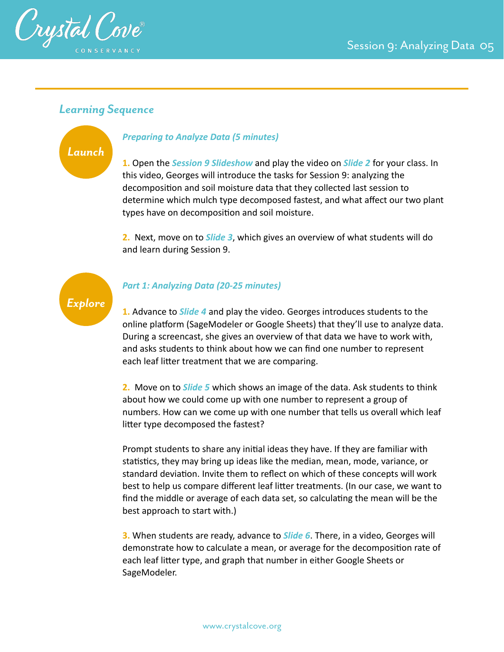

### *Learning Sequence*



### *Preparing to Analyze Data (5 minutes)*

**1.** Open the *Session 9 Slideshow* and play the video on *Slide 2* for your class. In this video, Georges will introduce the tasks for Session 9: analyzing the decomposition and soil moisture data that they collected last session to determine which mulch type decomposed fastest, and what affect our two plant types have on decomposition and soil moisture.

**2.** Next, move on to *Slide 3*, which gives an overview of what students will do and learn during Session 9.



#### *Part 1: Analyzing Data (20-25 minutes)*

**1.** Advance to *Slide 4* and play the video. Georges introduces students to the online platform (SageModeler or Google Sheets) that they'll use to analyze data. During a screencast, she gives an overview of that data we have to work with, and asks students to think about how we can find one number to represent each leaf litter treatment that we are comparing.

**2.** Move on to *Slide 5* which shows an image of the data. Ask students to think about how we could come up with one number to represent a group of numbers. How can we come up with one number that tells us overall which leaf litter type decomposed the fastest?

Prompt students to share any initial ideas they have. If they are familiar with statistics, they may bring up ideas like the median, mean, mode, variance, or standard deviation. Invite them to reflect on which of these concepts will work best to help us compare different leaf litter treatments. (In our case, we want to find the middle or average of each data set, so calculating the mean will be the best approach to start with.)

**3.** When students are ready, advance to *Slide 6*. There, in a video, Georges will demonstrate how to calculate a mean, or average for the decomposition rate of each leaf litter type, and graph that number in either Google Sheets or SageModeler.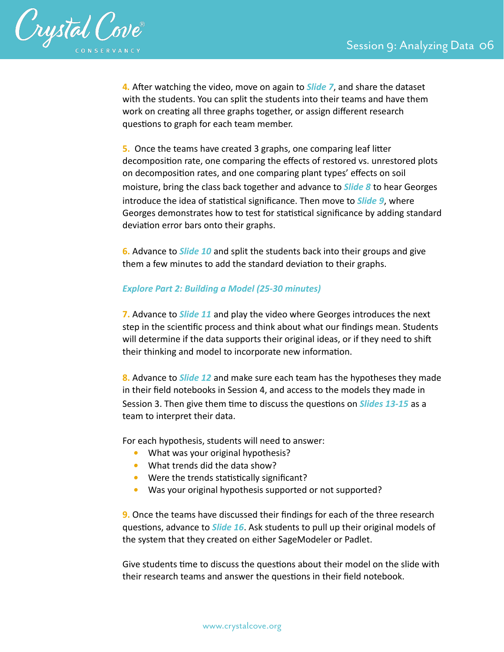

**4***.* After watching the video, move on again to *Slide 7*, and share the dataset with the students. You can split the students into their teams and have them work on creating all three graphs together, or assign different research questions to graph for each team member.

**5.** Once the teams have created 3 graphs, one comparing leaf litter decomposition rate, one comparing the effects of restored vs. unrestored plots on decomposition rates, and one comparing plant types' effects on soil moisture, bring the class back together and advance to *Slide 8* to hear Georges introduce the idea of statistical significance. Then move to *Slide 9*, where Georges demonstrates how to test for statistical significance by adding standard deviation error bars onto their graphs.

**6.** Advance to *Slide 10* and split the students back into their groups and give them a few minutes to add the standard deviation to their graphs.

#### *Explore Part 2: Building a Model (25-30 minutes)*

**7.** Advance to *Slide 11* and play the video where Georges introduces the next step in the scientific process and think about what our findings mean. Students will determine if the data supports their original ideas, or if they need to shift their thinking and model to incorporate new information.

**8.** Advance to *Slide 12* and make sure each team has the hypotheses they made in their field notebooks in Session 4, and access to the models they made in Session 3. Then give them time to discuss the questions on *Slides 13-15* as a team to interpret their data.

For each hypothesis, students will need to answer:

- *•* What was your original hypothesis?
- *•* What trends did the data show?
- Were the trends statistically significant?
- *•* Was your original hypothesis supported or not supported?

**9.** Once the teams have discussed their findings for each of the three research questions, advance to *Slide 16*. Ask students to pull up their original models of the system that they created on either SageModeler or Padlet.

Give students time to discuss the questions about their model on the slide with their research teams and answer the questions in their field notebook.